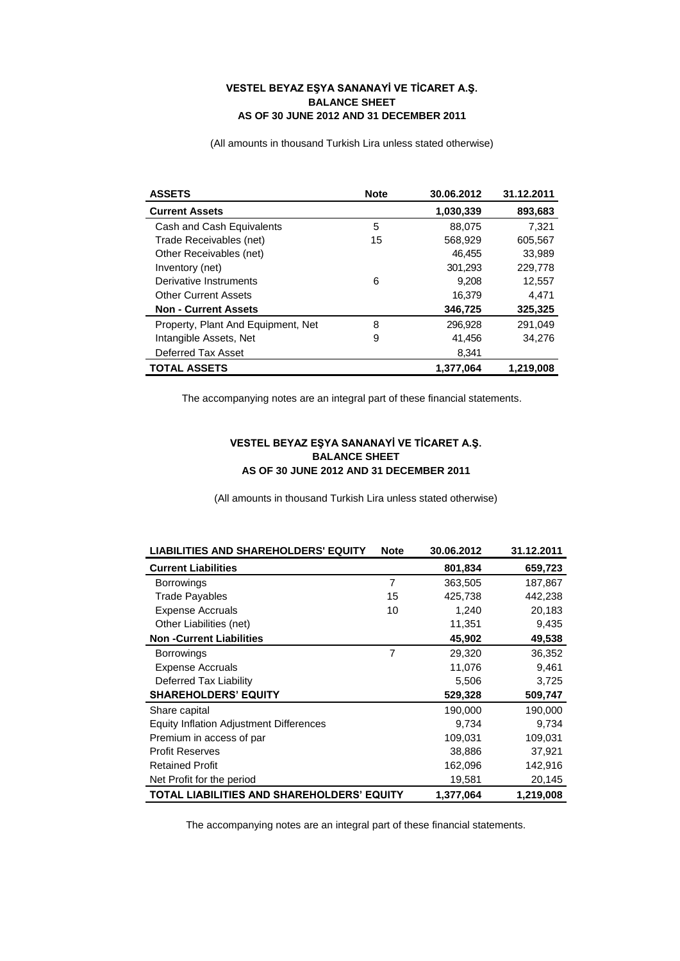## **VESTEL BEYAZ EŞYA SANANAYİ VE TİCARET A.Ş. BALANCE SHEET AS OF 30 JUNE 2012 AND 31 DECEMBER 2011**

(All amounts in thousand Turkish Lira unless stated otherwise)

| <b>ASSETS</b>                      | <b>Note</b> | 30.06.2012 | 31.12.2011 |
|------------------------------------|-------------|------------|------------|
| <b>Current Assets</b>              |             | 1,030,339  | 893,683    |
| Cash and Cash Equivalents          | 5           | 88.075     | 7.321      |
| Trade Receivables (net)            | 15          | 568,929    | 605,567    |
| Other Receivables (net)            |             | 46,455     | 33,989     |
| Inventory (net)                    |             | 301,293    | 229,778    |
| Derivative Instruments             | 6           | 9.208      | 12,557     |
| <b>Other Current Assets</b>        |             | 16,379     | 4.471      |
| <b>Non - Current Assets</b>        |             | 346,725    | 325,325    |
| Property, Plant And Equipment, Net | 8           | 296.928    | 291.049    |
| Intangible Assets, Net             | 9           | 41,456     | 34.276     |
| Deferred Tax Asset                 |             | 8,341      |            |
| <b>TOTAL ASSETS</b>                |             | 1.377.064  | 1.219.008  |

The accompanying notes are an integral part of these financial statements.

## **VESTEL BEYAZ EŞYA SANANAYİ VE TİCARET A.Ş. BALANCE SHEET AS OF 30 JUNE 2012 AND 31 DECEMBER 2011**

(All amounts in thousand Turkish Lira unless stated otherwise)

| <b>LIABILITIES AND SHAREHOLDERS' EQUITY</b>    | <b>Note</b>    | 30.06.2012 | 31.12.2011 |
|------------------------------------------------|----------------|------------|------------|
| <b>Current Liabilities</b>                     |                | 801,834    | 659,723    |
| <b>Borrowings</b>                              | $\overline{7}$ | 363,505    | 187,867    |
| <b>Trade Payables</b>                          | 15             | 425,738    | 442,238    |
| <b>Expense Accruals</b>                        | 10             | 1,240      | 20,183     |
| Other Liabilities (net)                        |                | 11,351     | 9,435      |
| <b>Non-Current Liabilities</b>                 |                | 45,902     | 49,538     |
| <b>Borrowings</b>                              | 7              | 29,320     | 36,352     |
| <b>Expense Accruals</b>                        |                | 11,076     | 9,461      |
| Deferred Tax Liability                         |                | 5,506      | 3,725      |
| <b>SHAREHOLDERS' EQUITY</b>                    |                | 529,328    | 509,747    |
| Share capital                                  |                | 190,000    | 190,000    |
| <b>Equity Inflation Adjustment Differences</b> |                | 9,734      | 9,734      |
| Premium in access of par                       |                | 109,031    | 109,031    |
| <b>Profit Reserves</b>                         |                | 38,886     | 37,921     |
| <b>Retained Profit</b>                         |                | 162,096    | 142,916    |
| Net Profit for the period                      |                | 19,581     | 20,145     |
| TOTAL LIABILITIES AND SHAREHOLDERS' EQUITY     |                | 1,377,064  | 1,219,008  |

The accompanying notes are an integral part of these financial statements.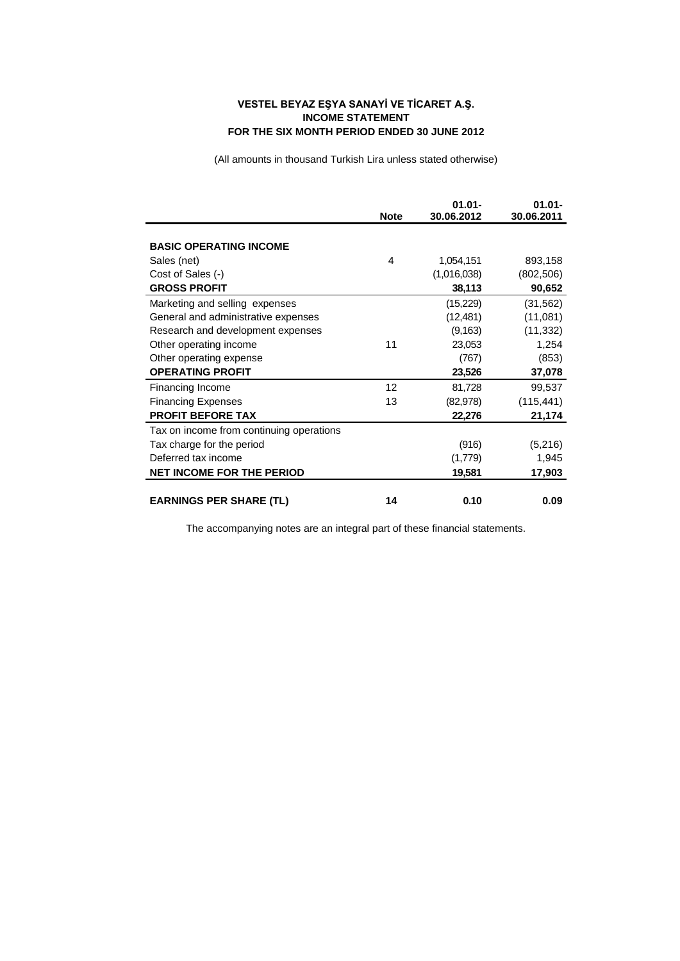## **VESTEL BEYAZ EŞYA SANAYİ VE TİCARET A.Ş. INCOME STATEMENT FOR THE SIX MONTH PERIOD ENDED 30 JUNE 2012**

(All amounts in thousand Turkish Lira unless stated otherwise)

|                                          | <b>Note</b> | $01.01 -$<br>30.06.2012 | $01.01 -$<br>30.06.2011 |
|------------------------------------------|-------------|-------------------------|-------------------------|
|                                          |             |                         |                         |
| <b>BASIC OPERATING INCOME</b>            |             |                         |                         |
| Sales (net)                              | 4           | 1,054,151               | 893,158                 |
| Cost of Sales (-)                        |             | (1,016,038)             | (802, 506)              |
| <b>GROSS PROFIT</b>                      |             | 38,113                  | 90,652                  |
| Marketing and selling expenses           |             | (15,229)                | (31, 562)               |
| General and administrative expenses      |             | (12, 481)               | (11,081)                |
| Research and development expenses        |             | (9, 163)                | (11, 332)               |
| Other operating income                   | 11          | 23,053                  | 1,254                   |
| Other operating expense                  |             | (767)                   | (853)                   |
| <b>OPERATING PROFIT</b>                  |             | 23,526                  | 37,078                  |
| Financing Income                         | 12          | 81,728                  | 99,537                  |
| <b>Financing Expenses</b>                | 13          | (82, 978)               | (115, 441)              |
| <b>PROFIT BEFORE TAX</b>                 |             | 22,276                  | 21,174                  |
| Tax on income from continuing operations |             |                         |                         |
| Tax charge for the period                |             | (916)                   | (5,216)                 |
| Deferred tax income                      |             | (1,779)                 | 1,945                   |
| <b>NET INCOME FOR THE PERIOD</b>         |             | 19,581                  | 17,903                  |
| <b>EARNINGS PER SHARE (TL)</b>           | 14          | 0.10                    | 0.09                    |
|                                          |             |                         |                         |

The accompanying notes are an integral part of these financial statements.